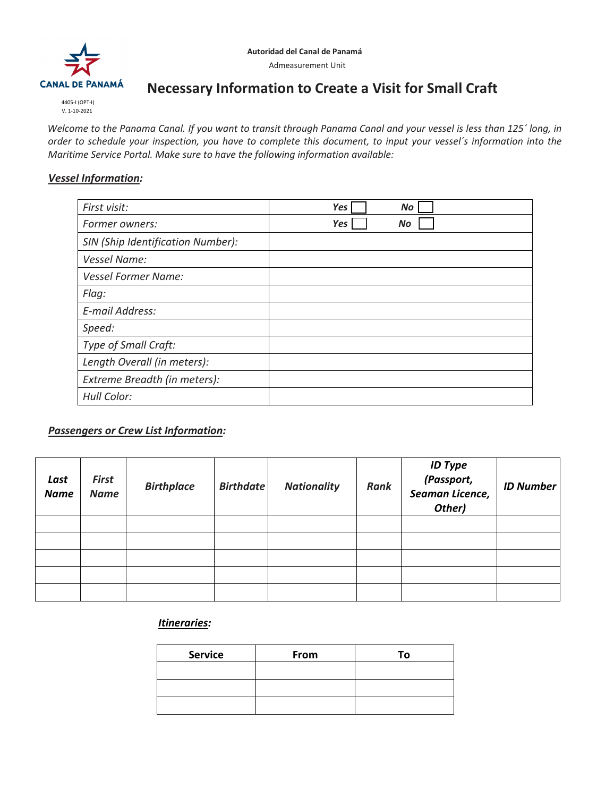

V. 1-10-2021

# **Necessary Information to Create a Visit for Small Craft**

*Welcome to the Panama Canal. If you want to transit through Panama Canal and your vessel is less than 125´ long, in order to schedule your inspection, you have to complete this document, to input your vessel´s information into the Maritime Service Portal. Make sure to have the following information available:*

### *Vessel Information:*

| First visit:                      | Yes | <b>No</b> |  |
|-----------------------------------|-----|-----------|--|
| Former owners:                    | Yes | No        |  |
| SIN (Ship Identification Number): |     |           |  |
| <b>Vessel Name:</b>               |     |           |  |
| <b>Vessel Former Name:</b>        |     |           |  |
| Flag:                             |     |           |  |
| E-mail Address:                   |     |           |  |
| Speed:                            |     |           |  |
| Type of Small Craft:              |     |           |  |
| Length Overall (in meters):       |     |           |  |
| Extreme Breadth (in meters):      |     |           |  |
| Hull Color:                       |     |           |  |

# *Passengers or Crew List Information:*

| Last<br><b>Name</b> | <b>First</b><br><b>Name</b> | <b>Birthplace</b> | <b>Birthdate</b> | <b>Nationality</b> | Rank | <b>ID Type</b><br>(Passport,<br>Seaman Licence,<br>Other) | <b>ID Number</b> |
|---------------------|-----------------------------|-------------------|------------------|--------------------|------|-----------------------------------------------------------|------------------|
|                     |                             |                   |                  |                    |      |                                                           |                  |
|                     |                             |                   |                  |                    |      |                                                           |                  |
|                     |                             |                   |                  |                    |      |                                                           |                  |
|                     |                             |                   |                  |                    |      |                                                           |                  |
|                     |                             |                   |                  |                    |      |                                                           |                  |

## *Itineraries:*

| <b>Service</b> | From | Тο |
|----------------|------|----|
|                |      |    |
|                |      |    |
|                |      |    |